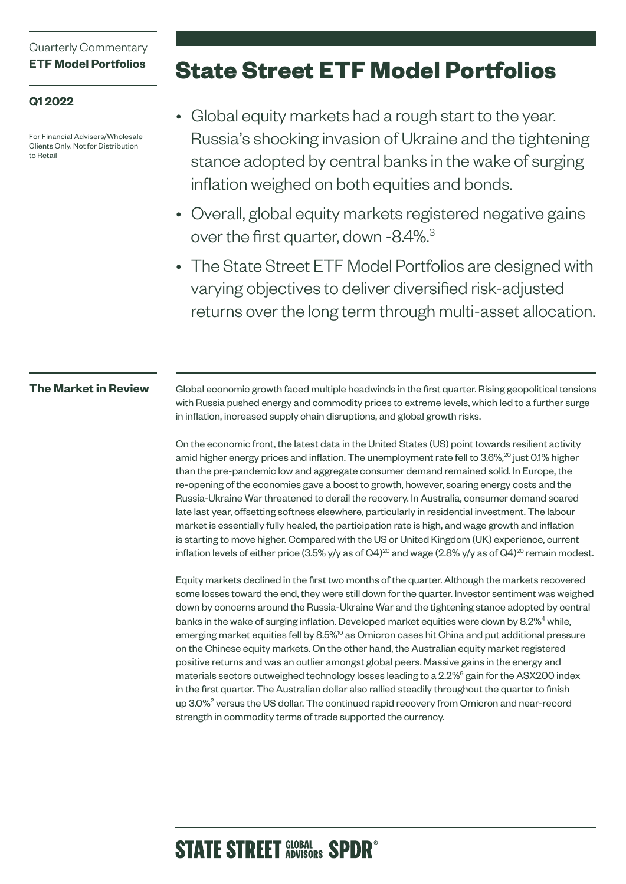### Quarterly Commentary **ETF Model Portfolios**

### **Q1 2022**

For Financial Advisers/Wholesale Clients Only. Not for Distribution to Retail

# **State Street ETF Model Portfolios**

- Global equity markets had a rough start to the year. Russia's shocking invasion of Ukraine and the tightening stance adopted by central banks in the wake of surging inflation weighed on both equities and bonds.
- Overall, global equity markets registered negative gains over the first quarter, down -8.4%.<sup>3</sup>
- The State Street ETF Model Portfolios are designed with varying objectives to deliver diversified risk-adjusted returns over the long term through multi-asset allocation.

#### **The Market in Review**

Global economic growth faced multiple headwinds in the first quarter. Rising geopolitical tensions with Russia pushed energy and commodity prices to extreme levels, which led to a further surge in inflation, increased supply chain disruptions, and global growth risks.

On the economic front, the latest data in the United States (US) point towards resilient activity amid higher energy prices and inflation. The unemployment rate fell to  $3.6\%,^{20}$  just 0.1% higher than the pre-pandemic low and aggregate consumer demand remained solid. In Europe, the re-opening of the economies gave a boost to growth, however, soaring energy costs and the Russia-Ukraine War threatened to derail the recovery. In Australia, consumer demand soared late last year, offsetting softness elsewhere, particularly in residential investment. The labour market is essentially fully healed, the participation rate is high, and wage growth and inflation is starting to move higher. Compared with the US or United Kingdom (UK) experience, current inflation levels of either price (3.5% y/y as of Q4)<sup>20</sup> and wage (2.8% y/y as of Q4)<sup>20</sup> remain modest.

Equity markets declined in the first two months of the quarter. Although the markets recovered some losses toward the end, they were still down for the quarter. Investor sentiment was weighed down by concerns around the Russia-Ukraine War and the tightening stance adopted by central banks in the wake of surging inflation. Developed market equities were down by 8.2%<sup>4</sup> while, emerging market equities fell by 8.5%<sup>10</sup> as Omicron cases hit China and put additional pressure on the Chinese equity markets. On the other hand, the Australian equity market registered positive returns and was an outlier amongst global peers. Massive gains in the energy and materials sectors outweighed technology losses leading to a 2.2%<sup>9</sup> gain for the ASX200 index in the first quarter. The Australian dollar also rallied steadily throughout the quarter to finish up 3.0%<sup>2</sup> versus the US dollar. The continued rapid recovery from Omicron and near-record strength in commodity terms of trade supported the currency.

# **STATE STREET GLOBAL SPDR<sup>®</sup>**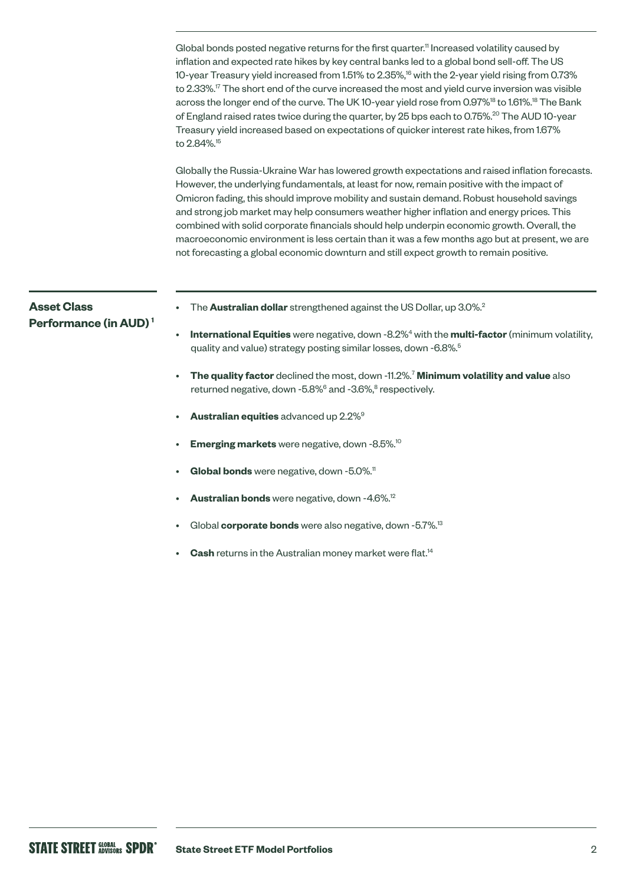Global bonds posted negative returns for the first quarter.<sup>11</sup> Increased volatility caused by inflation and expected rate hikes by key central banks led to a global bond sell-off. The US 10-year Treasury yield increased from 1.51% to 2.35%,<sup>16</sup> with the 2-year yield rising from 0.73% to 2.33%.17 The short end of the curve increased the most and yield curve inversion was visible across the longer end of the curve. The UK 10-year yield rose from 0.97%<sup>18</sup> to 1.61%.<sup>18</sup> The Bank of England raised rates twice during the quarter, by 25 bps each to 0.75%.<sup>20</sup> The AUD 10-year Treasury yield increased based on expectations of quicker interest rate hikes, from 1.67% to 2.84%.<sup>15</sup>

Globally the Russia-Ukraine War has lowered growth expectations and raised inflation forecasts. However, the underlying fundamentals, at least for now, remain positive with the impact of Omicron fading, this should improve mobility and sustain demand. Robust household savings and strong job market may help consumers weather higher inflation and energy prices. This combined with solid corporate financials should help underpin economic growth. Overall, the macroeconomic environment is less certain than it was a few months ago but at present, we are not forecasting a global economic downturn and still expect growth to remain positive.

# The **Australian dollar** strengthened against the US Dollar, up 3.0%.<sup>2</sup>  $\cdot$  International Equities were negative, down -8.2%<sup>4</sup> with the multi-factor (minimum volatility, quality and value) strategy posting similar losses, down -6.8%.<sup>5</sup> • **The quality factor** declined the most, down -11.2%.7 **Minimum volatility and value** also returned negative, down -5.8%<sup>6</sup> and -3.6%,<sup>8</sup> respectively. • **Australian equities** advanced up 2.2%9 **Emerging markets** were negative, down -8.5%.<sup>10</sup> **Asset Class Performance (in AUD) 1**

- 
- Global bonds were negative, down -5.0%.<sup>11</sup>
- **Australian bonds** were negative, down -4.6%.12
- Global **corporate bonds** were also negative, down -5.7%.<sup>13</sup>
- **Cash** returns in the Australian money market were flat.<sup>14</sup>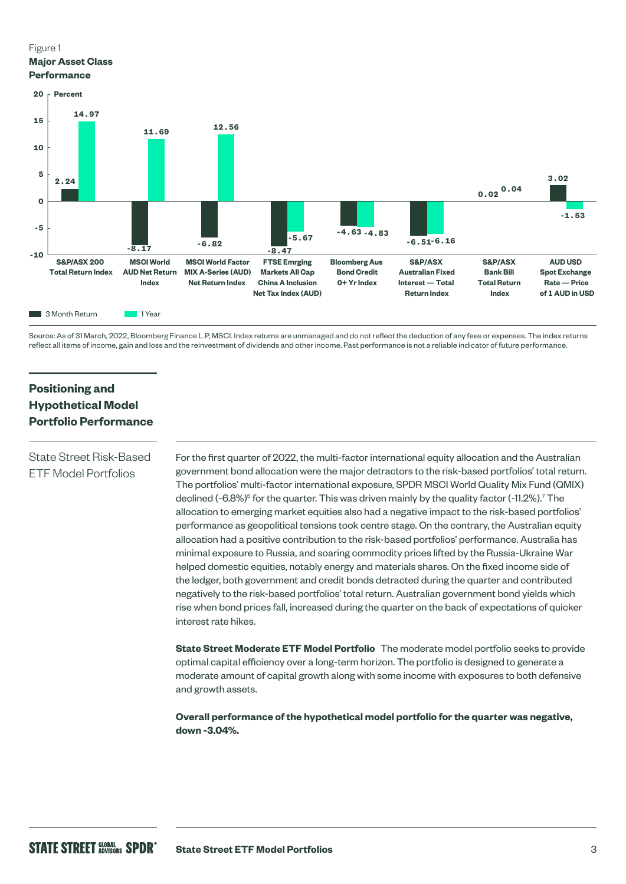#### Figure 1 **Major Asset Class Performance**



Source: As of 31 March, 2022, Bloomberg Finance L.P, MSCI. Index returns are unmanaged and do not reflect the deduction of any fees or expenses. The index returns reflect all items of income, gain and loss and the reinvestment of dividends and other income. Past performance is not a reliable indicator of future performance.

## **Positioning and Hypothetical Model Portfolio Performance**

#### State Street Risk-Based ETF Model Portfolios

For the first quarter of 2022, the multi-factor international equity allocation and the Australian government bond allocation were the major detractors to the risk-based portfolios' total return. The portfolios' multi-factor international exposure, SPDR MSCI World Quality Mix Fund (QMIX) declined (-6.8%)<sup>5</sup> for the quarter. This was driven mainly by the quality factor (-11.2%).<sup>7</sup> The allocation to emerging market equities also had a negative impact to the risk-based portfolios' performance as geopolitical tensions took centre stage. On the contrary, the Australian equity allocation had a positive contribution to the risk-based portfolios' performance. Australia has minimal exposure to Russia, and soaring commodity prices lifted by the Russia-Ukraine War helped domestic equities, notably energy and materials shares. On the fixed income side of the ledger, both government and credit bonds detracted during the quarter and contributed negatively to the risk-based portfolios' total return. Australian government bond yields which rise when bond prices fall, increased during the quarter on the back of expectations of quicker interest rate hikes.

**State Street Moderate ETF Model Portfolio** The moderate model portfolio seeks to provide optimal capital efficiency over a long-term horizon. The portfolio is designed to generate a moderate amount of capital growth along with some income with exposures to both defensive and growth assets.

**Overall performance of the hypothetical model portfolio for the quarter was negative, down -3.04%.**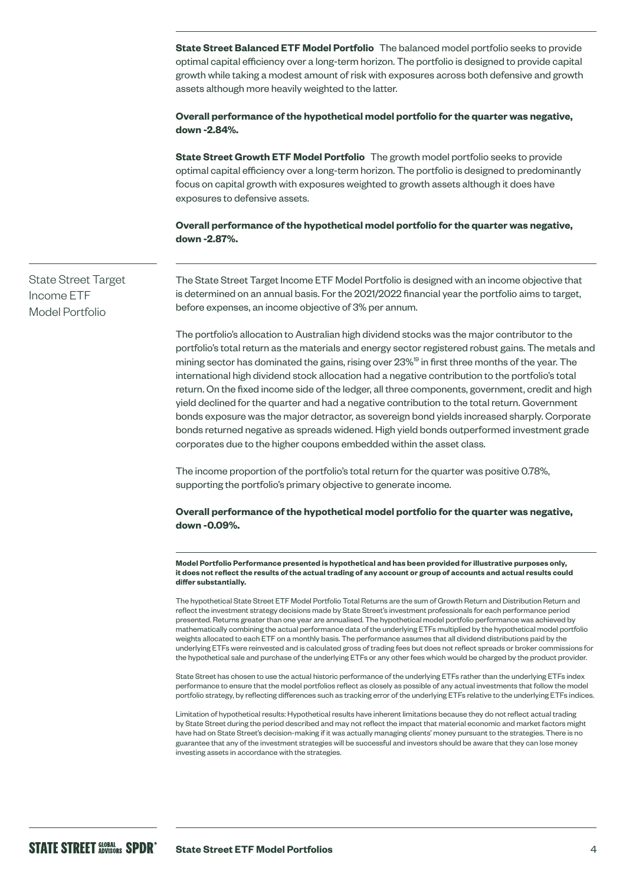**State Street Balanced ETF Model Portfolio** The balanced model portfolio seeks to provide optimal capital efficiency over a long-term horizon. The portfolio is designed to provide capital growth while taking a modest amount of risk with exposures across both defensive and growth assets although more heavily weighted to the latter.

**Overall performance of the hypothetical model portfolio for the quarter was negative, down -2.84%.**

**State Street Growth ETF Model Portfolio** The growth model portfolio seeks to provide optimal capital efficiency over a long-term horizon. The portfolio is designed to predominantly focus on capital growth with exposures weighted to growth assets although it does have exposures to defensive assets.

**Overall performance of the hypothetical model portfolio for the quarter was negative, down -2.87%.**

State Street Target Income ETF Model Portfolio

The State Street Target Income ETF Model Portfolio is designed with an income objective that is determined on an annual basis. For the 2021/2022 financial year the portfolio aims to target, before expenses, an income objective of 3% per annum.

The portfolio's allocation to Australian high dividend stocks was the major contributor to the portfolio's total return as the materials and energy sector registered robust gains. The metals and mining sector has dominated the gains, rising over 23%<sup>19</sup> in first three months of the year. The international high dividend stock allocation had a negative contribution to the portfolio's total return. On the fixed income side of the ledger, all three components, government, credit and high yield declined for the quarter and had a negative contribution to the total return. Government bonds exposure was the major detractor, as sovereign bond yields increased sharply. Corporate bonds returned negative as spreads widened. High yield bonds outperformed investment grade corporates due to the higher coupons embedded within the asset class.

The income proportion of the portfolio's total return for the quarter was positive 0.78%, supporting the portfolio's primary objective to generate income.

**Overall performance of the hypothetical model portfolio for the quarter was negative, down -0.09%.**

**Model Portfolio Performance presented is hypothetical and has been provided for illustrative purposes only, it does not reflect the results of the actual trading of any account or group of accounts and actual results could differ substantially.** 

The hypothetical State Street ETF Model Portfolio Total Returns are the sum of Growth Return and Distribution Return and reflect the investment strategy decisions made by State Street's investment professionals for each performance period presented. Returns greater than one year are annualised. The hypothetical model portfolio performance was achieved by mathematically combining the actual performance data of the underlying ETFs multiplied by the hypothetical model portfolio weights allocated to each ETF on a monthly basis. The performance assumes that all dividend distributions paid by the underlying ETFs were reinvested and is calculated gross of trading fees but does not reflect spreads or broker commissions for the hypothetical sale and purchase of the underlying ETFs or any other fees which would be charged by the product provider.

State Street has chosen to use the actual historic performance of the underlying ETFs rather than the underlying ETFs index performance to ensure that the model portfolios reflect as closely as possible of any actual investments that follow the model portfolio strategy, by reflecting differences such as tracking error of the underlying ETFs relative to the underlying ETFs indices.

Limitation of hypothetical results: Hypothetical results have inherent limitations because they do not reflect actual trading by State Street during the period described and may not reflect the impact that material economic and market factors might have had on State Street's decision-making if it was actually managing clients' money pursuant to the strategies. There is no guarantee that any of the investment strategies will be successful and investors should be aware that they can lose money investing assets in accordance with the strategies.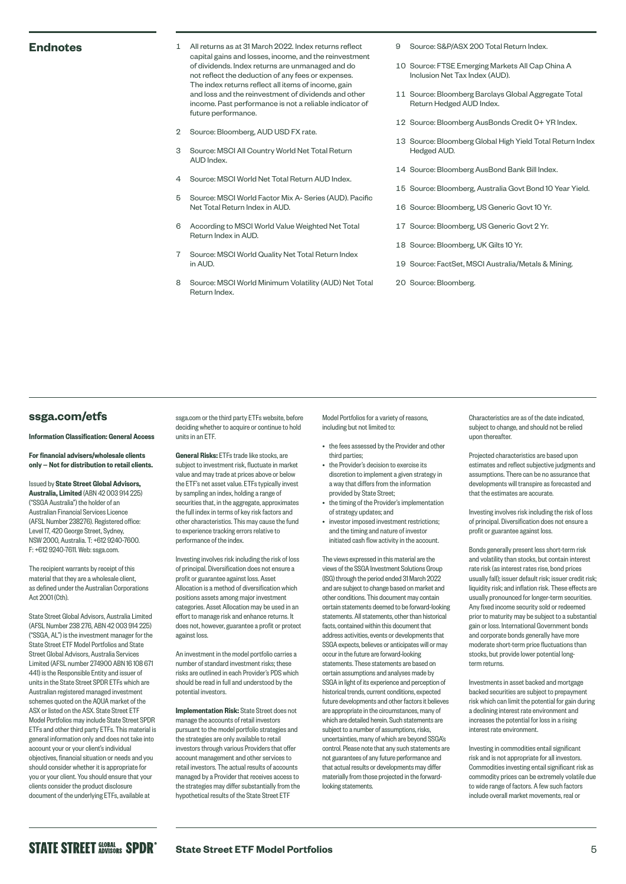- Endnotes 1 All returns as at 31 March 2022. Index returns reflect capital gains and losses, income, and the reinvestment of dividends. Index returns are unmanaged and do not reflect the deduction of any fees or expenses. The index returns reflect all items of income, gain and loss and the reinvestment of dividends and other income. Past performance is not a reliable indicator of future performance.
	- 2 Source: Bloomberg, AUD USD FX rate.
	- 3 Source: MSCI All Country World Net Total Return AUD Index.
	- 4 Source: MSCI World Net Total Return AUD Index.
	- 5 Source: MSCI World Factor Mix A- Series (AUD). Pacific Net Total Return Index in AUD.
	- 6 According to MSCI World Value Weighted Net Total Return Index in AUD.
	- 7 Source: MSCI World Quality Net Total Return Index in AUD.
	- 8 Source: MSCI World Minimum Volatility (AUD) Net Total Return Index.
- 9 Source: S&P/ASX 200 Total Return Index.
- 10 Source: FTSE Emerging Markets All Cap China A Inclusion Net Tax Index (AUD).
- 11 Source: Bloomberg Barclays Global Aggregate Total Return Hedged AUD Index.
- 12 Source: Bloomberg AusBonds Credit 0+ YR Index.
- 13 Source: Bloomberg Global High Yield Total Return Index Hedged AUD.
- 14 Source: Bloomberg AusBond Bank Bill Index.
- 15 Source: Bloomberg, Australia Govt Bond 10 Year Yield.
- 16 Source: Bloomberg, US Generic Govt 10 Yr.
- 17 Source: Bloomberg, US Generic Govt 2 Yr.
- 18 Source: Bloomberg, UK Gilts 10 Yr.
- 19 Source: FactSet, MSCI Australia/Metals & Mining.
- 20 Source: Bloomberg.

#### **[ssga.com/etfs](http://ssga.com/etfs)**

Information Classification: General Access

For financial advisers/wholesale clients only — Not for distribution to retail clients.

Issued by State Street Global Advisors, Australia, Limited (ABN 42 003 914 225) ("SSGA Australia") the holder of an

Australian Financial Services Licence (AFSL Number 238276). Registered office: Level 17, 420 George Street, Sydney, NSW 2000, Australia. T: +612 9240-7600. F: +612 9240-7611. Web: [ssga.com](http://ssga.com).

The recipient warrants by receipt of this material that they are a wholesale client, as defined under the Australian Corporations Act 2001 (Cth).

State Street Global Advisors, Australia Limited (AFSL Number 238 276, ABN 42 003 914 225) ("SSGA, AL") is the investment manager for the State Street ETF Model Portfolios and State Street Global Advisors, Australia Services Limited (AFSL number 274900 ABN 16 108 671 441) is the Responsible Entity and issuer of units in the State Street SPDR ETFs which are Australian registered managed investment schemes quoted on the AQUA market of the ASX or listed on the ASX. State Street ETF Model Portfolios may include State Street SPDR ETFs and other third party ETFs. This material is general information only and does not take into account your or your client's individual objectives, financial situation or needs and you should consider whether it is appropriate for you or your client. You should ensure that your clients consider the product disclosure document of the underlying ETFs, available at

[ssga.com](http://ssga.com) or the third party ETFs website, before deciding whether to acquire or continue to hold units in an ETF.

General Risks: ETFs trade like stocks, are subject to investment risk, fluctuate in market value and may trade at prices above or below the ETF's net asset value. ETFs typically invest by sampling an index, holding a range of securities that, in the aggregate, approximates the full index in terms of key risk factors and other characteristics. This may cause the fund to experience tracking errors relative to performance of the index.

Investing involves risk including the risk of loss of principal. Diversification does not ensure a profit or guarantee against loss. Asset Allocation is a method of diversification which positions assets among major investment categories. Asset Allocation may be used in an effort to manage risk and enhance returns. It does not, however, guarantee a profit or protect against loss.

An investment in the model portfolio carries a number of standard investment risks; these risks are outlined in each Provider's PDS which should be read in full and understood by the potential investors.

Implementation Risk: State Street does not manage the accounts of retail investors pursuant to the model portfolio strategies and the strategies are only available to retail investors through various Providers that offer account management and other services to retail investors. The actual results of accounts managed by a Provider that receives access to the strategies may differ substantially from the hypothetical results of the State Street ETF

Model Portfolios for a variety of reasons, including but not limited to:

- the fees assessed by the Provider and other third parties;
- the Provider's decision to exercise its discretion to implement a given strategy in a way that differs from the information provided by State Street;
- the timing of the Provider's implementation of strategy updates; and
- investor imposed investment restrictions; and the timing and nature of investor initiated cash flow activity in the account.

The views expressed in this material are the views of the SSGA Investment Solutions Group (ISG) through the period ended 31 March 2022 and are subject to change based on market and other conditions. This document may contain certain statements deemed to be forward-looking statements. All statements, other than historical facts, contained within this document that address activities, events or developments that SSGA expects, believes or anticipates will or may occur in the future are forward-looking statements. These statements are based on certain assumptions and analyses made by SSGA in light of its experience and perception of historical trends, current conditions, expected future developments and other factors it believes are appropriate in the circumstances, many of which are detailed herein. Such statements are subject to a number of assumptions, risks, uncertainties, many of which are beyond SSGA's control. Please note that any such statements are not guarantees of any future performance and that actual results or developments may differ materially from those projected in the forwardlooking statements.

Characteristics are as of the date indicated, subject to change, and should not be relied upon thereafter.

Projected characteristics are based upon estimates and reflect subjective judgments and assumptions. There can be no assurance that developments will transpire as forecasted and that the estimates are accurate.

Investing involves risk including the risk of loss of principal. Diversification does not ensure a profit or guarantee against loss.

Bonds generally present less short-term risk and volatility than stocks, but contain interest rate risk (as interest rates rise, bond prices usually fall); issuer default risk; issuer credit risk; liquidity risk; and inflation risk. These effects are usually pronounced for longer-term securities. Any fixed income security sold or redeemed prior to maturity may be subject to a substantial gain or loss. International Government bonds and corporate bonds generally have more moderate short-term price fluctuations than stocks, but provide lower potential longterm returns.

Investments in asset backed and mortgage backed securities are subject to prepayment risk which can limit the potential for gain during a declining interest rate environment and increases the potential for loss in a rising interest rate environment.

Investing in commodities entail significant risk and is not appropriate for all investors. Commodities investing entail significant risk as commodity prices can be extremely volatile due to wide range of factors. A few such factors include overall market movements, real or